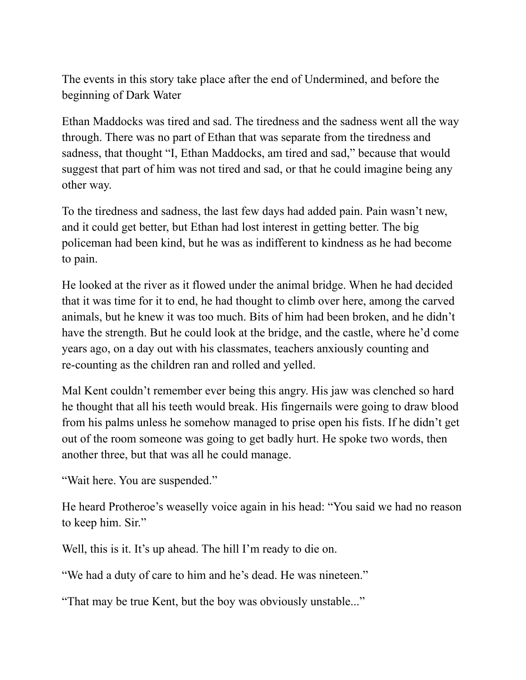The events in this story take place after the end of Undermined, and before the beginning of Dark Water

Ethan Maddocks was tired and sad. The tiredness and the sadness went all the way through. There was no part of Ethan that was separate from the tiredness and sadness, that thought "I, Ethan Maddocks, am tired and sad," because that would suggest that part of him was not tired and sad, or that he could imagine being any other way.

To the tiredness and sadness, the last few days had added pain. Pain wasn't new, and it could get better, but Ethan had lost interest in getting better. The big policeman had been kind, but he was as indifferent to kindness as he had become to pain.

He looked at the river as it flowed under the animal bridge. When he had decided that it was time for it to end, he had thought to climb over here, among the carved animals, but he knew it was too much. Bits of him had been broken, and he didn't have the strength. But he could look at the bridge, and the castle, where he'd come years ago, on a day out with his classmates, teachers anxiously counting and re-counting as the children ran and rolled and yelled.

Mal Kent couldn't remember ever being this angry. His jaw was clenched so hard he thought that all his teeth would break. His fingernails were going to draw blood from his palms unless he somehow managed to prise open his fists. If he didn't get out of the room someone was going to get badly hurt. He spoke two words, then another three, but that was all he could manage.

"Wait here. You are suspended."

He heard Protheroe's weaselly voice again in his head: "You said we had no reason to keep him. Sir."

Well, this is it. It's up ahead. The hill I'm ready to die on.

"We had a duty of care to him and he's dead. He was nineteen."

"That may be true Kent, but the boy was obviously unstable..."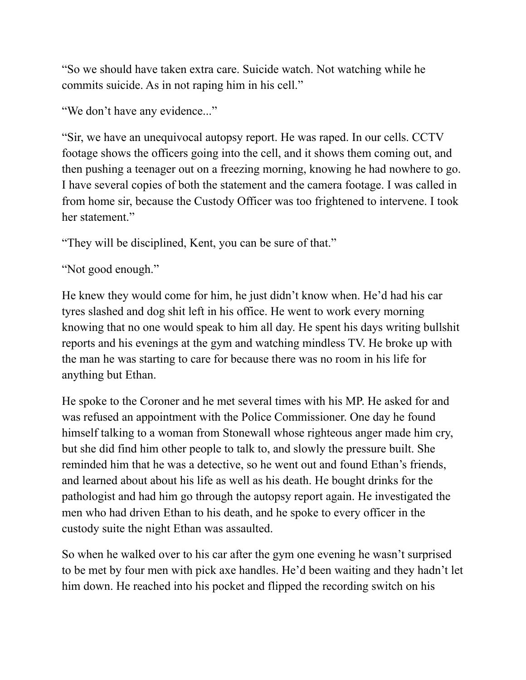"So we should have taken extra care. Suicide watch. Not watching while he commits suicide. As in not raping him in his cell."

"We don't have any evidence..."

"Sir, we have an unequivocal autopsy report. He was raped. In our cells. CCTV footage shows the officers going into the cell, and it shows them coming out, and then pushing a teenager out on a freezing morning, knowing he had nowhere to go. I have several copies of both the statement and the camera footage. I was called in from home sir, because the Custody Officer was too frightened to intervene. I took her statement."

"They will be disciplined, Kent, you can be sure of that."

"Not good enough."

He knew they would come for him, he just didn't know when. He'd had his car tyres slashed and dog shit left in his office. He went to work every morning knowing that no one would speak to him all day. He spent his days writing bullshit reports and his evenings at the gym and watching mindless TV. He broke up with the man he was starting to care for because there was no room in his life for anything but Ethan.

He spoke to the Coroner and he met several times with his MP. He asked for and was refused an appointment with the Police Commissioner. One day he found himself talking to a woman from Stonewall whose righteous anger made him cry, but she did find him other people to talk to, and slowly the pressure built. She reminded him that he was a detective, so he went out and found Ethan's friends, and learned about about his life as well as his death. He bought drinks for the pathologist and had him go through the autopsy report again. He investigated the men who had driven Ethan to his death, and he spoke to every officer in the custody suite the night Ethan was assaulted.

So when he walked over to his car after the gym one evening he wasn't surprised to be met by four men with pick axe handles. He'd been waiting and they hadn't let him down. He reached into his pocket and flipped the recording switch on his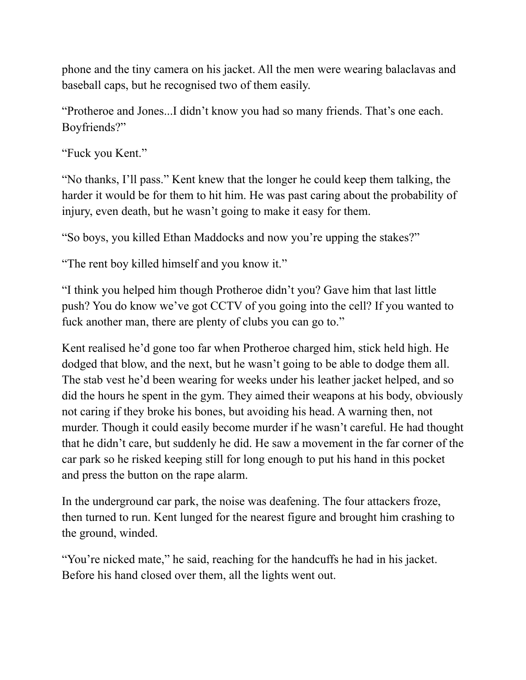phone and the tiny camera on his jacket. All the men were wearing balaclavas and baseball caps, but he recognised two of them easily.

"Protheroe and Jones...I didn't know you had so many friends. That's one each. Boyfriends?"

"Fuck you Kent."

"No thanks, I'll pass." Kent knew that the longer he could keep them talking, the harder it would be for them to hit him. He was past caring about the probability of injury, even death, but he wasn't going to make it easy for them.

"So boys, you killed Ethan Maddocks and now you're upping the stakes?"

"The rent boy killed himself and you know it."

"I think you helped him though Protheroe didn't you? Gave him that last little push? You do know we've got CCTV of you going into the cell? If you wanted to fuck another man, there are plenty of clubs you can go to."

Kent realised he'd gone too far when Protheroe charged him, stick held high. He dodged that blow, and the next, but he wasn't going to be able to dodge them all. The stab vest he'd been wearing for weeks under his leather jacket helped, and so did the hours he spent in the gym. They aimed their weapons at his body, obviously not caring if they broke his bones, but avoiding his head. A warning then, not murder. Though it could easily become murder if he wasn't careful. He had thought that he didn't care, but suddenly he did. He saw a movement in the far corner of the car park so he risked keeping still for long enough to put his hand in this pocket and press the button on the rape alarm.

In the underground car park, the noise was deafening. The four attackers froze, then turned to run. Kent lunged for the nearest figure and brought him crashing to the ground, winded.

"You're nicked mate," he said, reaching for the handcuffs he had in his jacket. Before his hand closed over them, all the lights went out.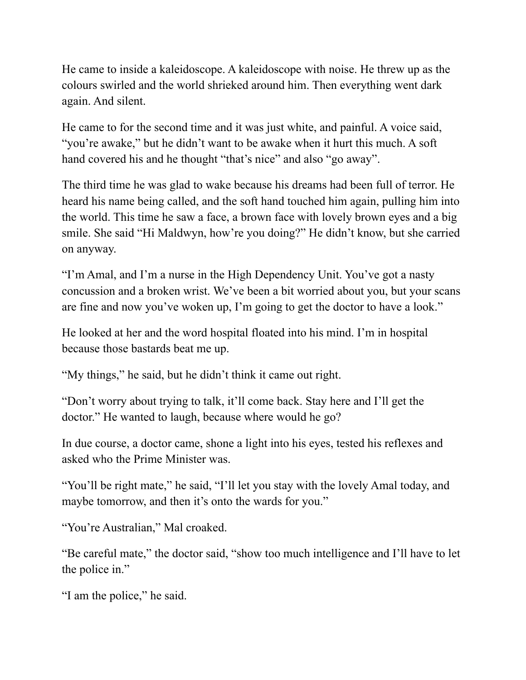He came to inside a kaleidoscope. A kaleidoscope with noise. He threw up as the colours swirled and the world shrieked around him. Then everything went dark again. And silent.

He came to for the second time and it was just white, and painful. A voice said, "you're awake," but he didn't want to be awake when it hurt this much. A soft hand covered his and he thought "that's nice" and also "go away".

The third time he was glad to wake because his dreams had been full of terror. He heard his name being called, and the soft hand touched him again, pulling him into the world. This time he saw a face, a brown face with lovely brown eyes and a big smile. She said "Hi Maldwyn, how're you doing?" He didn't know, but she carried on anyway.

"I'm Amal, and I'm a nurse in the High Dependency Unit. You've got a nasty concussion and a broken wrist. We've been a bit worried about you, but your scans are fine and now you've woken up, I'm going to get the doctor to have a look."

He looked at her and the word hospital floated into his mind. I'm in hospital because those bastards beat me up.

"My things," he said, but he didn't think it came out right.

"Don't worry about trying to talk, it'll come back. Stay here and I'll get the doctor." He wanted to laugh, because where would he go?

In due course, a doctor came, shone a light into his eyes, tested his reflexes and asked who the Prime Minister was.

"You'll be right mate," he said, "I'll let you stay with the lovely Amal today, and maybe tomorrow, and then it's onto the wards for you."

"You're Australian," Mal croaked.

"Be careful mate," the doctor said, "show too much intelligence and I'll have to let the police in."

"I am the police," he said.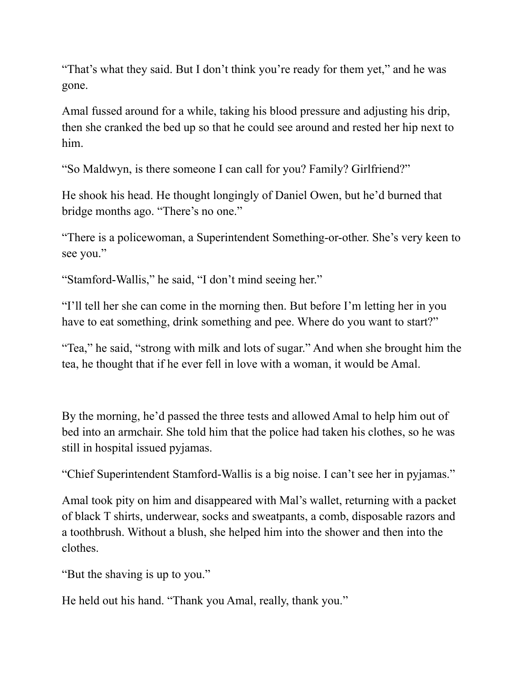"That's what they said. But I don't think you're ready for them yet," and he was gone.

Amal fussed around for a while, taking his blood pressure and adjusting his drip, then she cranked the bed up so that he could see around and rested her hip next to him.

"So Maldwyn, is there someone I can call for you? Family? Girlfriend?"

He shook his head. He thought longingly of Daniel Owen, but he'd burned that bridge months ago. "There's no one."

"There is a policewoman, a Superintendent Something-or-other. She's very keen to see you."

"Stamford-Wallis," he said, "I don't mind seeing her."

"I'll tell her she can come in the morning then. But before I'm letting her in you have to eat something, drink something and pee. Where do you want to start?"

"Tea," he said, "strong with milk and lots of sugar." And when she brought him the tea, he thought that if he ever fell in love with a woman, it would be Amal.

By the morning, he'd passed the three tests and allowed Amal to help him out of bed into an armchair. She told him that the police had taken his clothes, so he was still in hospital issued pyjamas.

"Chief Superintendent Stamford-Wallis is a big noise. I can't see her in pyjamas."

Amal took pity on him and disappeared with Mal's wallet, returning with a packet of black T shirts, underwear, socks and sweatpants, a comb, disposable razors and a toothbrush. Without a blush, she helped him into the shower and then into the clothes.

"But the shaving is up to you."

He held out his hand. "Thank you Amal, really, thank you."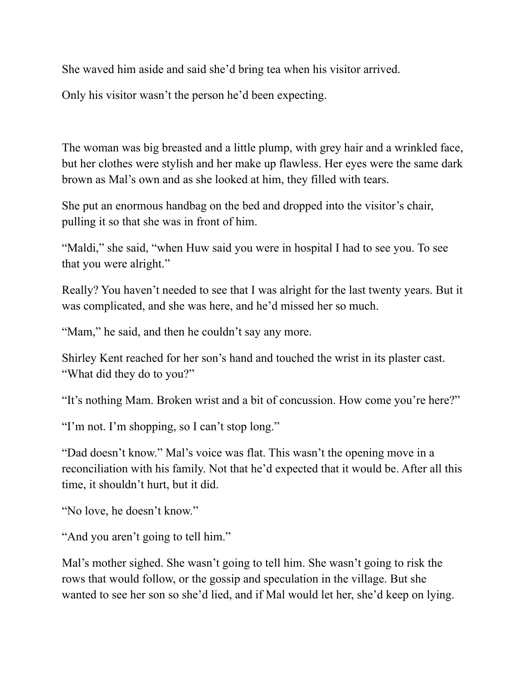She waved him aside and said she'd bring tea when his visitor arrived.

Only his visitor wasn't the person he'd been expecting.

The woman was big breasted and a little plump, with grey hair and a wrinkled face, but her clothes were stylish and her make up flawless. Her eyes were the same dark brown as Mal's own and as she looked at him, they filled with tears.

She put an enormous handbag on the bed and dropped into the visitor's chair, pulling it so that she was in front of him.

"Maldi," she said, "when Huw said you were in hospital I had to see you. To see that you were alright."

Really? You haven't needed to see that I was alright for the last twenty years. But it was complicated, and she was here, and he'd missed her so much.

"Mam," he said, and then he couldn't say any more.

Shirley Kent reached for her son's hand and touched the wrist in its plaster cast. "What did they do to you?"

"It's nothing Mam. Broken wrist and a bit of concussion. How come you're here?"

"I'm not. I'm shopping, so I can't stop long."

"Dad doesn't know." Mal's voice was flat. This wasn't the opening move in a reconciliation with his family. Not that he'd expected that it would be. After all this time, it shouldn't hurt, but it did.

"No love, he doesn't know."

"And you aren't going to tell him."

Mal's mother sighed. She wasn't going to tell him. She wasn't going to risk the rows that would follow, or the gossip and speculation in the village. But she wanted to see her son so she'd lied, and if Mal would let her, she'd keep on lying.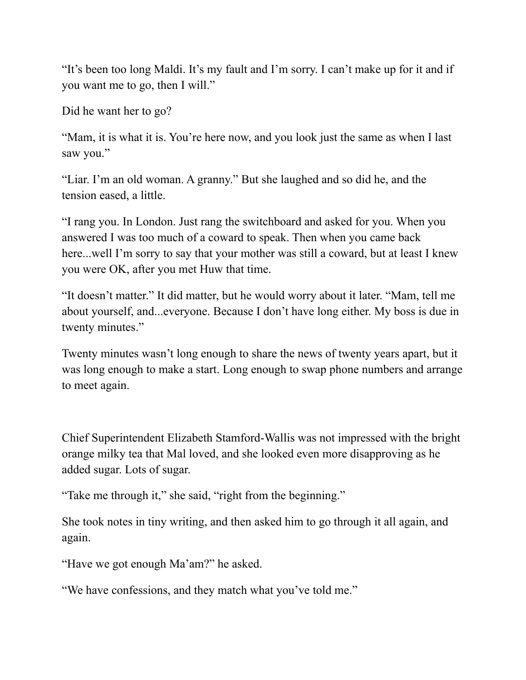"It's been too long Maldi. It's my fault and I'm sorry. I can't make up for it and if you want me to go, then I will."

Did he want her to go?

"Mam, it is what it is. You're here now, and you look just the same as when I last saw you."

"Liar. I'm an old woman. A granny." But she laughed and so did he, and the tension eased, a little.

"I rang you. In London. Just rang the switchboard and asked for you. When you answered I was too much of a coward to speak. Then when you came back here...well I'm sorry to say that your mother was still a coward, but at least I knew you were OK, after you met Huw that time.

"It doesn't matter." It did matter, but he would worry about it later. "Mam, tell me about yourself, and...everyone. Because I don't have long either. My boss is due in twenty minutes."

Twenty minutes wasn't long enough to share the news of twenty years apart, but it was long enough to make a start. Long enough to swap phone numbers and arrange to meet again.

Chief Superintendent Elizabeth Stamford-Wallis was not impressed with the bright orange milky tea that Mal loved, and she looked even more disapproving as he added sugar. Lots of sugar.

"Take me through it," she said, "right from the beginning."

She took notes in tiny writing, and then asked him to go through it all again, and again.

"Have we got enough Ma'am?" he asked.

"We have confessions, and they match what you've told me."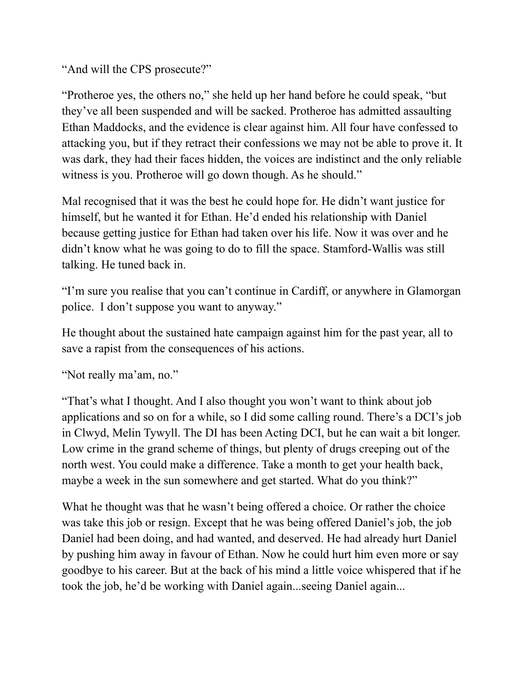"And will the CPS prosecute?"

"Protheroe yes, the others no," she held up her hand before he could speak, "but they've all been suspended and will be sacked. Protheroe has admitted assaulting Ethan Maddocks, and the evidence is clear against him. All four have confessed to attacking you, but if they retract their confessions we may not be able to prove it. It was dark, they had their faces hidden, the voices are indistinct and the only reliable witness is you. Protheroe will go down though. As he should."

Mal recognised that it was the best he could hope for. He didn't want justice for himself, but he wanted it for Ethan. He'd ended his relationship with Daniel because getting justice for Ethan had taken over his life. Now it was over and he didn't know what he was going to do to fill the space. Stamford-Wallis was still talking. He tuned back in.

"I'm sure you realise that you can't continue in Cardiff, or anywhere in Glamorgan police. I don't suppose you want to anyway."

He thought about the sustained hate campaign against him for the past year, all to save a rapist from the consequences of his actions.

"Not really ma'am, no."

"That's what I thought. And I also thought you won't want to think about job applications and so on for a while, so I did some calling round. There's a DCI's job in Clwyd, Melin Tywyll. The DI has been Acting DCI, but he can wait a bit longer. Low crime in the grand scheme of things, but plenty of drugs creeping out of the north west. You could make a difference. Take a month to get your health back, maybe a week in the sun somewhere and get started. What do you think?"

What he thought was that he wasn't being offered a choice. Or rather the choice was take this job or resign. Except that he was being offered Daniel's job, the job Daniel had been doing, and had wanted, and deserved. He had already hurt Daniel by pushing him away in favour of Ethan. Now he could hurt him even more or say goodbye to his career. But at the back of his mind a little voice whispered that if he took the job, he'd be working with Daniel again...seeing Daniel again...